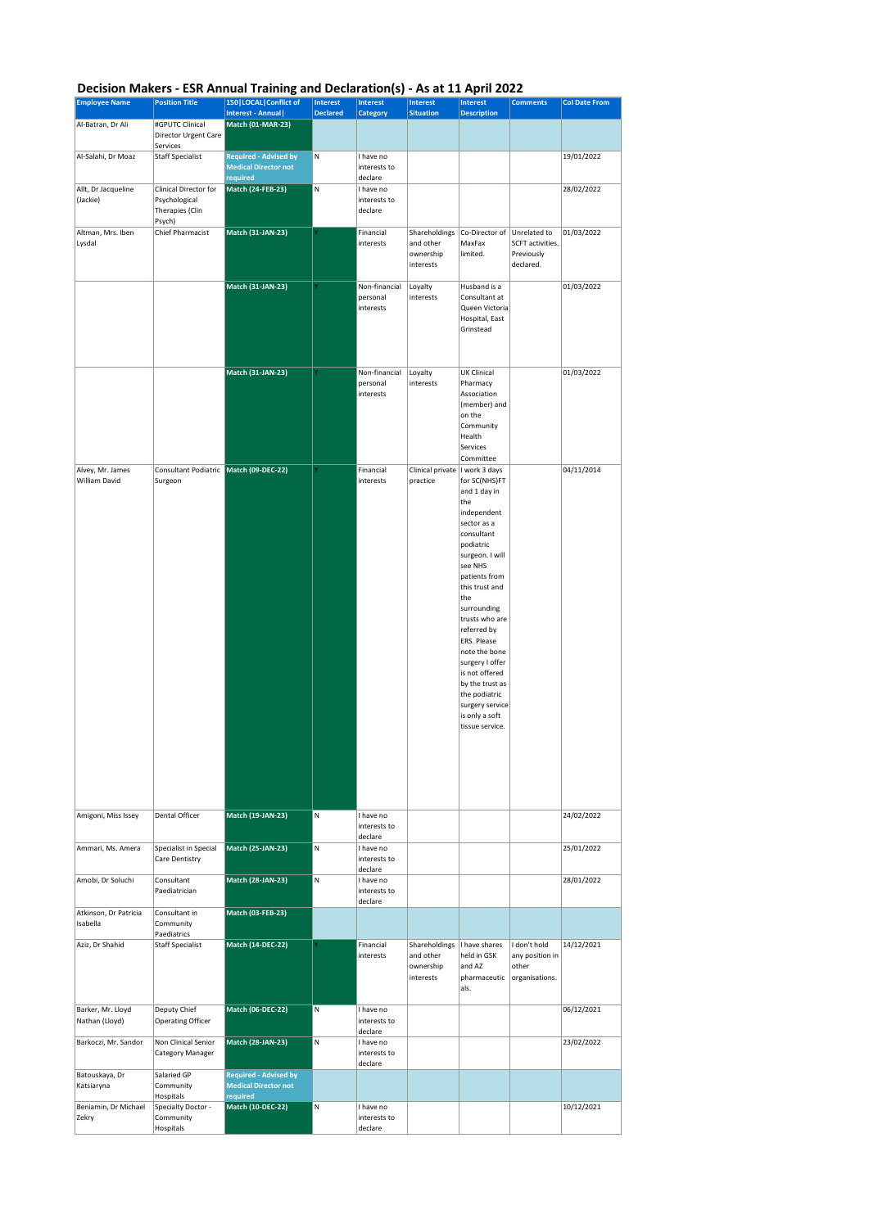## **Decision Makers - ESR Annual Training and Declaration(s) - As at 11 April 2022**

|                                     |                                                                     | Decision Makers - ESK Annuar Framing and Deciaration(s) - As at II April 2022 |                                    |                                        |                                                                      |                                                                                                                                                                                                                                                                                                                                                                                        |                                                             |                      |
|-------------------------------------|---------------------------------------------------------------------|-------------------------------------------------------------------------------|------------------------------------|----------------------------------------|----------------------------------------------------------------------|----------------------------------------------------------------------------------------------------------------------------------------------------------------------------------------------------------------------------------------------------------------------------------------------------------------------------------------------------------------------------------------|-------------------------------------------------------------|----------------------|
| <b>Employee Name</b>                | <b>Position Title</b>                                               | 150   LOCAL   Conflict of<br>Interest - Annual                                | <b>Interest</b><br><b>Declared</b> | Interest<br><b>Category</b>            | <b>Interest</b><br><b>Situation</b>                                  | Interest<br><b>Description</b>                                                                                                                                                                                                                                                                                                                                                         | <b>Comments</b>                                             | <b>Col Date From</b> |
| Al-Batran, Dr Ali                   | #GPUTC Clinical<br>Director Urgent Care                             | Match (01-MAR-23)                                                             |                                    |                                        |                                                                      |                                                                                                                                                                                                                                                                                                                                                                                        |                                                             |                      |
| Al-Salahi, Dr Moaz                  | Services<br><b>Staff Specialist</b>                                 | <b>Required - Advised by</b>                                                  | N                                  | I have no                              |                                                                      |                                                                                                                                                                                                                                                                                                                                                                                        |                                                             | 19/01/2022           |
|                                     |                                                                     | <b>Medical Director not</b><br>required                                       |                                    | interests to<br>declare                |                                                                      |                                                                                                                                                                                                                                                                                                                                                                                        |                                                             |                      |
| Allt, Dr Jacqueline<br>(Jackie)     | Clinical Director for<br>Psychological<br>Therapies (Clin<br>Psych) | <b>Match (24-FEB-23)</b>                                                      | N                                  | I have no<br>interests to<br>declare   |                                                                      |                                                                                                                                                                                                                                                                                                                                                                                        |                                                             | 28/02/2022           |
| Altman, Mrs. Iben<br>Lysdal         | Chief Pharmacist                                                    | Match (31-JAN-23)                                                             |                                    | Financial<br>interests                 | Shareholdings<br>and other<br>ownership<br>interests                 | Co-Director of<br>MaxFax<br>limited.                                                                                                                                                                                                                                                                                                                                                   | Unrelated to<br>SCFT activities.<br>Previously<br>declared. | 01/03/2022           |
|                                     |                                                                     | <b>Match (31-JAN-23)</b>                                                      |                                    | Non-financial<br>personal<br>interests | Loyalty<br>interests                                                 | Husband is a<br>Consultant at<br>Queen Victoria<br>Hospital, East<br>Grinstead                                                                                                                                                                                                                                                                                                         |                                                             | 01/03/2022           |
|                                     |                                                                     | Match (31-JAN-23)                                                             |                                    | Non-financial<br>personal<br>interests | Loyalty<br>interests                                                 | <b>UK Clinical</b><br>Pharmacy<br>Association<br>(member) and<br>on the<br>Community<br>Health<br>Services<br>Committee                                                                                                                                                                                                                                                                |                                                             | 01/03/2022           |
| Alvey, Mr. James<br>William David   | Consultant Podiatric Match (09-DEC-22)<br>Surgeon                   |                                                                               |                                    | Financial<br>interests                 | Clinical private   I work 3 days<br>practice                         | for SC(NHS)FT<br>and 1 day in<br>the<br>independent<br>sector as a<br>consultant<br>podiatric<br>surgeon. I will<br>see NHS<br>patients from<br>this trust and<br>the<br>surrounding<br>trusts who are<br>referred by<br>ERS. Please<br>note the bone<br>surgery I offer<br>is not offered<br>by the trust as<br>the podiatric<br>surgery service<br>is only a soft<br>tissue service. |                                                             | 04/11/2014           |
| Amigoni, Miss Issey                 | Dental Officer                                                      | Match (19-JAN-23)                                                             | N                                  | I have no<br>interests to<br>declare   |                                                                      |                                                                                                                                                                                                                                                                                                                                                                                        |                                                             | 24/02/2022           |
| Ammari, Ms. Amera                   | Specialist in Special<br>Care Dentistry                             | <b>Match (25-JAN-23)</b>                                                      | M                                  | I have no<br>interests to<br>declare   |                                                                      |                                                                                                                                                                                                                                                                                                                                                                                        |                                                             | 25/01/2022           |
| Amobi, Dr Soluchi                   | Consultant<br>Paediatrician                                         | Match (28-JAN-23)                                                             | N                                  | I have no<br>interests to<br>declare   |                                                                      |                                                                                                                                                                                                                                                                                                                                                                                        |                                                             | 28/01/2022           |
| Atkinson, Dr Patricia<br>Isabella   | Consultant in<br>Community<br>Paediatrics                           | <b>Match (03-FEB-23)</b>                                                      |                                    |                                        |                                                                      |                                                                                                                                                                                                                                                                                                                                                                                        |                                                             |                      |
| Aziz, Dr Shahid                     | <b>Staff Specialist</b>                                             | <b>Match (14-DEC-22)</b>                                                      |                                    | Financial<br>interests                 | Shareholdings   I have shares<br>and other<br>ownership<br>interests | held in GSK<br>and AZ<br>pharmaceutic<br>als.                                                                                                                                                                                                                                                                                                                                          | I don't hold<br>any position in<br>other<br>organisations.  | 14/12/2021           |
| Barker, Mr. Lloyd<br>Nathan (Lloyd) | Deputy Chief<br>Operating Officer                                   | <b>Match (06-DEC-22)</b>                                                      | IN.                                | I have no<br>interests to<br>declare   |                                                                      |                                                                                                                                                                                                                                                                                                                                                                                        |                                                             | 06/12/2021           |
| Barkoczi, Mr. Sandor                | Non Clinical Senior<br>Category Manager                             | Match (28-JAN-23)                                                             | N                                  | I have no<br>interests to<br>declare   |                                                                      |                                                                                                                                                                                                                                                                                                                                                                                        |                                                             | 23/02/2022           |
| Batouskaya, Dr<br>Katsiaryna        | Salaried GP<br>Community<br>Hospitals                               | <b>Required - Advised by</b><br><b>Medical Director not</b><br>required       |                                    |                                        |                                                                      |                                                                                                                                                                                                                                                                                                                                                                                        |                                                             |                      |
| Beniamin, Dr Michael<br>Zekry       | Specialty Doctor -<br>Community<br>Hospitals                        | <b>Match (10-DEC-22)</b>                                                      | N                                  | I have no<br>interests to<br>declare   |                                                                      |                                                                                                                                                                                                                                                                                                                                                                                        |                                                             | 10/12/2021           |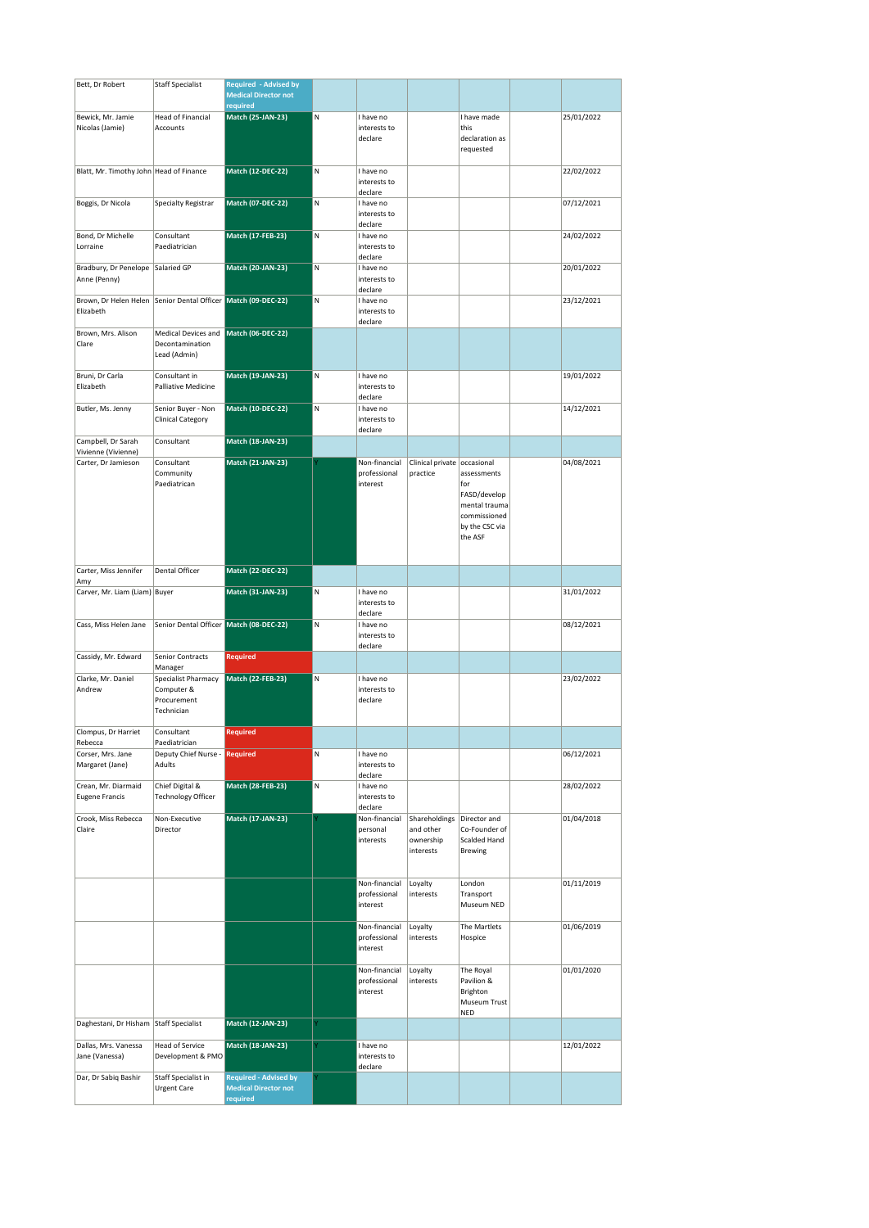| Bett, Dr Robert                           | <b>Staff Specialist</b>                 | <b>Required - Advised by</b>            |   |                               |                             |                                |            |
|-------------------------------------------|-----------------------------------------|-----------------------------------------|---|-------------------------------|-----------------------------|--------------------------------|------------|
|                                           |                                         | <b>Medical Director not</b><br>required |   |                               |                             |                                |            |
| Bewick, Mr. Jamie                         | Head of Financial                       | <b>Match (25-JAN-23)</b>                | N | I have no                     |                             | I have made                    | 25/01/2022 |
| Nicolas (Jamie)                           | Accounts                                |                                         |   | interests to                  |                             | this                           |            |
|                                           |                                         |                                         |   | declare                       |                             | declaration as<br>requested    |            |
| Blatt, Mr. Timothy John Head of Finance   |                                         | <b>Match (12-DEC-22)</b>                | M | I have no                     |                             |                                |            |
|                                           |                                         |                                         |   | interests to                  |                             |                                | 22/02/2022 |
| Boggis, Dr Nicola                         | Specialty Registrar                     | <b>Match (07-DEC-22)</b>                | M | declare<br>I have no          |                             |                                | 07/12/2021 |
|                                           |                                         |                                         |   | interests to<br>declare       |                             |                                |            |
| Bond, Dr Michelle                         | Consultant                              | <b>Match (17-FEB-23)</b>                | M | I have no                     |                             |                                | 24/02/2022 |
| Lorraine                                  | Paediatrician                           |                                         |   | interests to<br>declare       |                             |                                |            |
| Bradbury, Dr Penelope                     | Salaried GP                             | <b>Match (20-JAN-23)</b>                | M | I have no                     |                             |                                | 20/01/2022 |
| Anne (Penny)                              |                                         |                                         |   | interests to<br>declare       |                             |                                |            |
| Brown, Dr Helen Helen<br>Elizabeth        | Senior Dental Officer Match (09-DEC-22) |                                         | N | I have no<br>interests to     |                             |                                | 23/12/2021 |
|                                           |                                         |                                         |   | declare                       |                             |                                |            |
| Brown, Mrs. Alison                        | Medical Devices and                     | Match (06-DEC-22)                       |   |                               |                             |                                |            |
| Clare                                     | Decontamination<br>Lead (Admin)         |                                         |   |                               |                             |                                |            |
|                                           |                                         |                                         |   |                               |                             |                                |            |
| Bruni, Dr Carla<br>Elizabeth              | Consultant in<br>Palliative Medicine    | <b>Match (19-JAN-23)</b>                | N | I have no<br>interests to     |                             |                                | 19/01/2022 |
|                                           |                                         |                                         |   | declare                       |                             |                                |            |
| Butler, Ms. Jenny                         | Senior Buyer - Non<br>Clinical Category | <b>Match (10-DEC-22)</b>                | M | I have no<br>interests to     |                             |                                | 14/12/2021 |
|                                           |                                         |                                         |   | declare                       |                             |                                |            |
| Campbell, Dr Sarah<br>Vivienne (Vivienne) | Consultant                              | <b>Match (18-JAN-23)</b>                |   |                               |                             |                                |            |
| Carter, Dr Jamieson                       | Consultant                              | <b>Match (21-JAN-23)</b>                |   | Non-financial                 | Clinical private occasional |                                | 04/08/2021 |
|                                           | Community                               |                                         |   | professional<br>interest      | practice                    | assessments<br>for             |            |
|                                           | Paediatrican                            |                                         |   |                               |                             | FASD/develop                   |            |
|                                           |                                         |                                         |   |                               |                             | mental trauma                  |            |
|                                           |                                         |                                         |   |                               |                             | commissioned<br>by the CSC via |            |
|                                           |                                         |                                         |   |                               |                             | the ASF                        |            |
|                                           |                                         |                                         |   |                               |                             |                                |            |
| Carter, Miss Jennifer<br>Amy              | Dental Officer                          | <b>Match (22-DEC-22)</b>                |   |                               |                             |                                |            |
| Carver, Mr. Liam (Liam) Buyer             |                                         | Match (31-JAN-23)                       | M | I have no                     |                             |                                | 31/01/2022 |
|                                           |                                         |                                         |   | interests to                  |                             |                                |            |
| Cass, Miss Helen Jane                     | Senior Dental Officer Match (08-DEC-22) |                                         | N | declare<br>I have no          |                             |                                | 08/12/2021 |
|                                           |                                         |                                         |   | interests to<br>declare       |                             |                                |            |
| Cassidy, Mr. Edward                       | Senior Contracts<br>Manager             | <b>Required</b>                         |   |                               |                             |                                |            |
| Clarke, Mr. Daniel                        | Specialist Pharmacy                     | <b>Match (22-FEB-23)</b>                | N | I have no                     |                             |                                | 23/02/2022 |
| Andrew                                    | Computer &<br>Procurement               |                                         |   | interests to<br>declare       |                             |                                |            |
|                                           | Technician                              |                                         |   |                               |                             |                                |            |
| Clompus, Dr Harriet                       | Consultant                              |                                         |   |                               |                             |                                |            |
| Rebecca                                   | Paediatrician<br>Deputy Chief Nurse -   |                                         | M |                               |                             |                                |            |
| Corser, Mrs. Jane<br>Margaret (Jane)      | Adults                                  | <b>Required</b>                         |   | I have no<br>interests to     |                             |                                | 06/12/2021 |
| Crean, Mr. Diarmaid                       | Chief Digital &                         | <b>Match (28-FEB-23)</b>                | M | declare<br>I have no          |                             |                                | 28/02/2022 |
| <b>Eugene Francis</b>                     | <b>Technology Officer</b>               |                                         |   | interests to<br>declare       |                             |                                |            |
| Crook, Miss Rebecca                       | Non-Executive                           | Match (17-JAN-23)                       |   | Non-financial                 | Shareholdings               | Director and                   | 01/04/2018 |
| Claire                                    | Director                                |                                         |   | personal<br>interests         | and other<br>ownership      | Co-Founder of<br>Scalded Hand  |            |
|                                           |                                         |                                         |   |                               | interests                   | <b>Brewing</b>                 |            |
|                                           |                                         |                                         |   |                               |                             |                                |            |
|                                           |                                         |                                         |   | Non-financial                 | Loyalty                     | London                         | 01/11/2019 |
|                                           |                                         |                                         |   | professional                  | interests                   | Transport                      |            |
|                                           |                                         |                                         |   | interest                      |                             | Museum NED                     |            |
|                                           |                                         |                                         |   | Non-financial                 | Loyalty                     | The Martlets                   | 01/06/2019 |
|                                           |                                         |                                         |   | professional<br>interest      | interests                   | Hospice                        |            |
|                                           |                                         |                                         |   |                               |                             |                                |            |
|                                           |                                         |                                         |   | Non-financial<br>professional | Loyalty<br>interests        | The Royal<br>Pavilion &        | 01/01/2020 |
|                                           |                                         |                                         |   | interest                      |                             | Brighton                       |            |
|                                           |                                         |                                         |   |                               |                             | Museum Trust<br><b>NED</b>     |            |
| Daghestani, Dr Hisham Staff Specialist    |                                         | <b>Match (12-JAN-23)</b>                |   |                               |                             |                                |            |
| Dallas, Mrs. Vanessa                      | <b>Head of Service</b>                  | Match (18-JAN-23)                       |   | I have no                     |                             |                                | 12/01/2022 |
| Jane (Vanessa)                            | Development & PMO                       |                                         |   | interests to<br>declare       |                             |                                |            |
| Dar, Dr Sabiq Bashir                      | Staff Specialist in                     | <b>Required - Advised by</b>            |   |                               |                             |                                |            |
|                                           | <b>Urgent Care</b>                      | <b>Medical Director not</b><br>required |   |                               |                             |                                |            |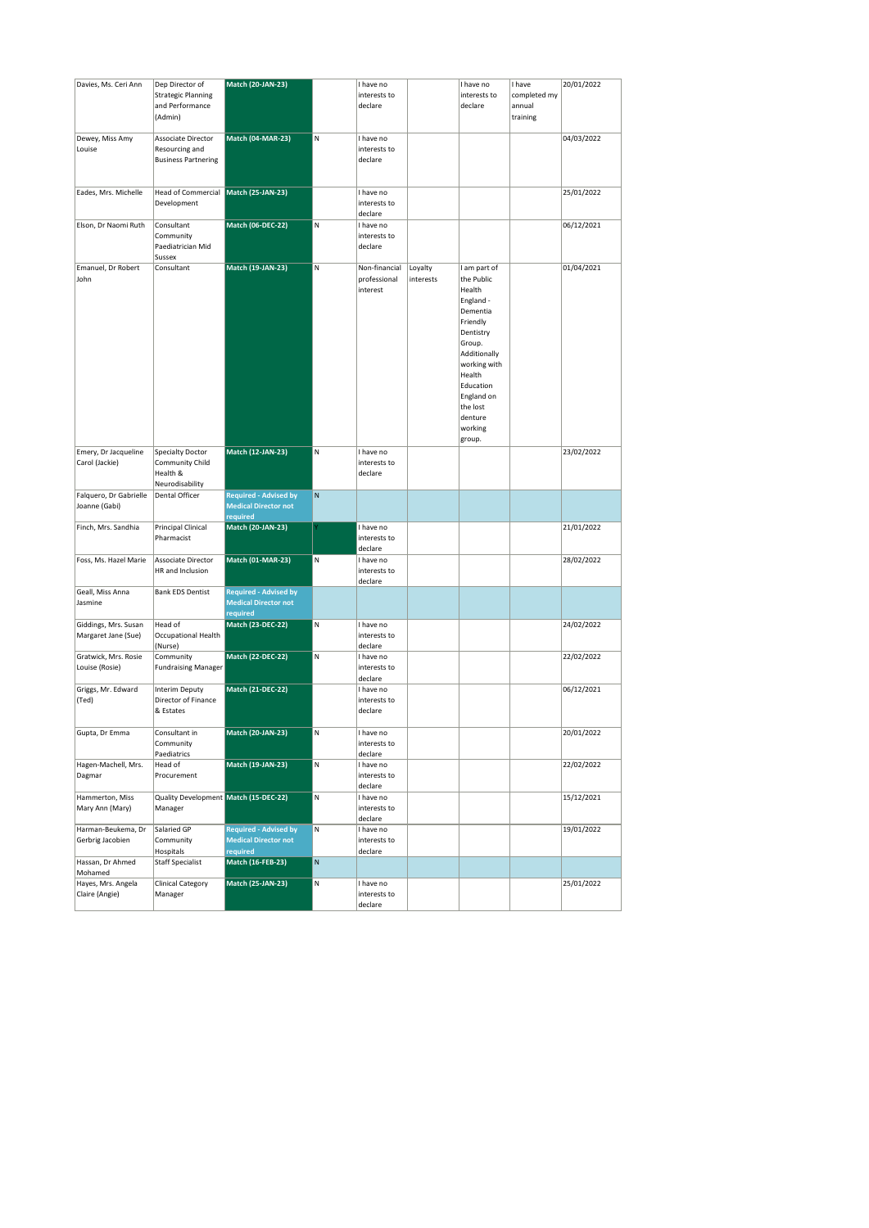| Davies, Ms. Ceri Ann                        | Dep Director of<br><b>Strategic Planning</b><br>and Performance<br>(Admin) | <b>Match (20-JAN-23)</b>                                                |   | I have no<br>interests to<br>declare      |                      | I have no<br>interests to<br>declare                                                                                                                                                                              | I have<br>completed my<br>annual<br>training | 20/01/2022 |
|---------------------------------------------|----------------------------------------------------------------------------|-------------------------------------------------------------------------|---|-------------------------------------------|----------------------|-------------------------------------------------------------------------------------------------------------------------------------------------------------------------------------------------------------------|----------------------------------------------|------------|
| Dewey, Miss Amy<br>Louise                   | Associate Director<br>Resourcing and<br><b>Business Partnering</b>         | <b>Match (04-MAR-23)</b>                                                | N | I have no<br>interests to<br>declare      |                      |                                                                                                                                                                                                                   |                                              | 04/03/2022 |
| Eades, Mrs. Michelle                        | <b>Head of Commercial</b><br>Development                                   | Match (25-JAN-23)                                                       |   | I have no<br>interests to<br>declare      |                      |                                                                                                                                                                                                                   |                                              | 25/01/2022 |
| Elson, Dr Naomi Ruth                        | Consultant<br>Community<br>Paediatrician Mid<br>Sussex                     | Match (06-DEC-22)                                                       | N | I have no<br>interests to<br>declare      |                      |                                                                                                                                                                                                                   |                                              | 06/12/2021 |
| Emanuel, Dr Robert<br>John                  | Consultant                                                                 | Match (19-JAN-23)                                                       | N | Non-financial<br>professional<br>interest | Loyalty<br>interests | I am part of<br>the Public<br>Health<br>England -<br>Dementia<br>Friendly<br>Dentistry<br>Group.<br>Additionally<br>working with<br>Health<br>Education<br>England on<br>the lost<br>denture<br>working<br>group. |                                              | 01/04/2021 |
| Emery, Dr Jacqueline<br>Carol (Jackie)      | <b>Specialty Doctor</b><br>Community Child<br>Health &<br>Neurodisability  | Match (12-JAN-23)                                                       | N | I have no<br>interests to<br>declare      |                      |                                                                                                                                                                                                                   |                                              | 23/02/2022 |
| Falquero, Dr Gabrielle<br>Joanne (Gabi)     | Dental Officer                                                             | <b>Required - Advised by</b><br><b>Medical Director not</b><br>required | N |                                           |                      |                                                                                                                                                                                                                   |                                              |            |
| Finch, Mrs. Sandhia                         | Principal Clinical<br>Pharmacist                                           | <b>Match (20-JAN-23)</b>                                                |   | I have no<br>interests to<br>declare      |                      |                                                                                                                                                                                                                   |                                              | 21/01/2022 |
| Foss, Ms. Hazel Marie                       | Associate Director<br>HR and Inclusion                                     | <b>Match (01-MAR-23)</b>                                                | M | I have no<br>interests to<br>declare      |                      |                                                                                                                                                                                                                   |                                              | 28/02/2022 |
| Geall, Miss Anna<br>Jasmine                 | <b>Bank EDS Dentist</b>                                                    | <b>Required - Advised by</b><br><b>Medical Director not</b><br>required |   |                                           |                      |                                                                                                                                                                                                                   |                                              |            |
| Giddings, Mrs. Susan<br>Margaret Jane (Sue) | Head of<br>Occupational Health<br>(Nurse)                                  | <b>Match (23-DEC-22)</b>                                                | N | I have no<br>interests to<br>declare      |                      |                                                                                                                                                                                                                   |                                              | 24/02/2022 |
| Gratwick, Mrs. Rosie<br>Louise (Rosie)      | Community<br><b>Fundraising Manager</b>                                    | <b>Match (22-DEC-22)</b>                                                | N | I have no<br>interests to<br>declare      |                      |                                                                                                                                                                                                                   |                                              | 22/02/2022 |
| Griggs, Mr. Edward<br>(Ted)                 | <b>Interim Deputy</b><br>Director of Finance<br>& Estates                  | <b>Match (21-DEC-22)</b>                                                |   | I have no<br>interests to<br>declare      |                      |                                                                                                                                                                                                                   |                                              | 06/12/2021 |
| Gupta, Dr Emma                              | Consultant in<br>Community<br>Paediatrics                                  | <b>Match (20-JAN-23)</b>                                                | N | I have no<br>interests to<br>declare      |                      |                                                                                                                                                                                                                   |                                              | 20/01/2022 |
| Hagen-Machell, Mrs.<br>Dagmar               | Head of<br>Procurement                                                     | Match (19-JAN-23)                                                       | N | I have no<br>interests to<br>declare      |                      |                                                                                                                                                                                                                   |                                              | 22/02/2022 |
| Hammerton, Miss<br>Mary Ann (Mary)          | Quality Development Match (15-DEC-22)<br>Manager                           |                                                                         | N | I have no<br>interests to<br>declare      |                      |                                                                                                                                                                                                                   |                                              | 15/12/2021 |
| Harman-Beukema, Dr<br>Gerbrig Jacobien      | Salaried GP<br>Community<br>Hospitals                                      | <b>Required - Advised by</b><br><b>Medical Director not</b><br>required | N | I have no<br>interests to<br>declare      |                      |                                                                                                                                                                                                                   |                                              | 19/01/2022 |
| Hassan, Dr Ahmed<br>Mohamed                 | <b>Staff Specialist</b>                                                    | <b>Match (16-FEB-23)</b>                                                | N |                                           |                      |                                                                                                                                                                                                                   |                                              |            |
| Hayes, Mrs. Angela<br>Claire (Angie)        | <b>Clinical Category</b><br>Manager                                        | <b>Match (25-JAN-23)</b>                                                | N | I have no<br>interests to<br>declare      |                      |                                                                                                                                                                                                                   |                                              | 25/01/2022 |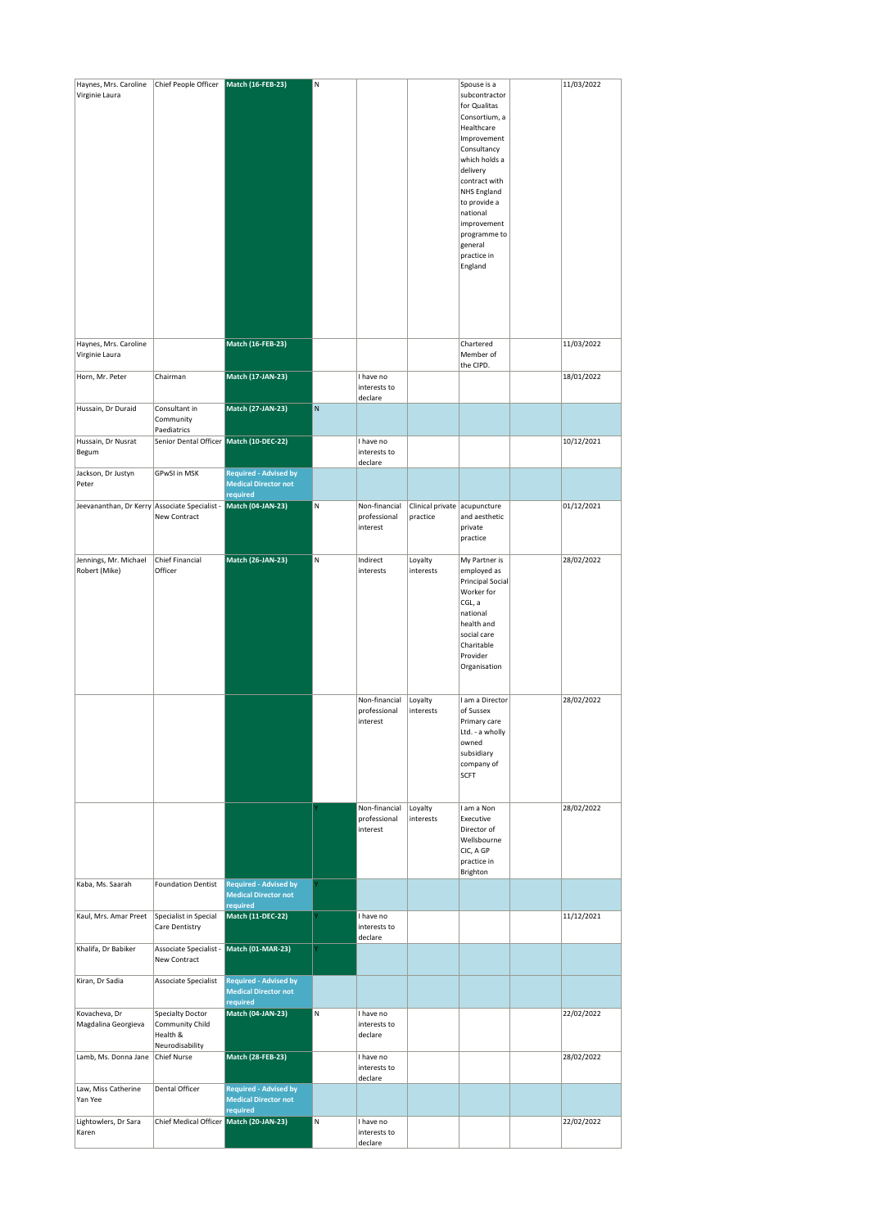| Haynes, Mrs. Caroline<br>Virginie Laura       | Chief People Officer                                                      | Match (16-FEB-23)                                                       | N |                                           |                                          | Spouse is a<br>subcontractor<br>for Qualitas<br>Consortium, a<br>Healthcare<br>Improvement<br>Consultancy<br>which holds a<br>delivery<br>contract with<br><b>NHS England</b><br>to provide a<br>national<br>improvement<br>programme to<br>general<br>practice in<br>England | 11/03/2022 |
|-----------------------------------------------|---------------------------------------------------------------------------|-------------------------------------------------------------------------|---|-------------------------------------------|------------------------------------------|-------------------------------------------------------------------------------------------------------------------------------------------------------------------------------------------------------------------------------------------------------------------------------|------------|
| Haynes, Mrs. Caroline<br>Virginie Laura       |                                                                           | <b>Match (16-FEB-23)</b>                                                |   |                                           |                                          | Chartered<br>Member of<br>the CIPD.                                                                                                                                                                                                                                           | 11/03/2022 |
| Horn, Mr. Peter                               | Chairman                                                                  | <b>Match (17-JAN-23)</b>                                                |   | I have no<br>interests to<br>declare      |                                          |                                                                                                                                                                                                                                                                               | 18/01/2022 |
| Hussain, Dr Duraid                            | Consultant in<br>Community<br>Paediatrics                                 | <b>Match (27-JAN-23)</b>                                                | N |                                           |                                          |                                                                                                                                                                                                                                                                               |            |
| Hussain, Dr Nusrat<br>Begum                   | Senior Dental Officer Match (10-DEC-22)                                   |                                                                         |   | I have no<br>interests to<br>declare      |                                          |                                                                                                                                                                                                                                                                               | 10/12/2021 |
| Jackson, Dr Justyn<br>Peter                   | GPwSI in MSK                                                              | <b>Required - Advised by</b><br><b>Medical Director not</b>             |   |                                           |                                          |                                                                                                                                                                                                                                                                               |            |
| Jeevananthan, Dr Kerry Associate Specialist - | New Contract                                                              | required<br>Match (04-JAN-23)                                           | N | Non-financial<br>professional<br>interest | Clinical private acupuncture<br>practice | and aesthetic<br>private<br>practice                                                                                                                                                                                                                                          | 01/12/2021 |
| Jennings, Mr. Michael<br>Robert (Mike)        | Chief Financial<br>Officer                                                | Match (26-JAN-23)                                                       | N | Indirect<br>interests                     | Loyalty<br>interests                     | My Partner is<br>employed as<br><b>Principal Social</b><br>Worker for<br>CGL, a<br>national<br>health and<br>social care<br>Charitable<br>Provider<br>Organisation                                                                                                            | 28/02/2022 |
|                                               |                                                                           |                                                                         |   | Non-financial<br>professional<br>interest | Loyalty<br>interests                     | I am a Director<br>of Sussex<br>Primary care<br>Ltd. - a wholly<br>owned<br>subsidiary<br>company of<br><b>SCFT</b>                                                                                                                                                           | 28/02/2022 |
|                                               |                                                                           |                                                                         |   | Non-financial<br>professional<br>interest | Loyalty<br>interests                     | I am a Non<br>Executive<br>Director of<br>Wellsbourne<br>CIC, A GP<br>practice in<br>Brighton                                                                                                                                                                                 | 28/02/2022 |
| Kaba, Ms. Saarah                              | <b>Foundation Dentist</b>                                                 | <b>Required - Advised by</b><br><b>Medical Director not</b><br>required |   |                                           |                                          |                                                                                                                                                                                                                                                                               |            |
| Kaul, Mrs. Amar Preet                         | Specialist in Special<br>Care Dentistry                                   | Match (11-DEC-22)                                                       |   | I have no<br>interests to<br>declare      |                                          |                                                                                                                                                                                                                                                                               | 11/12/2021 |
| Khalifa, Dr Babiker                           | Associate Specialist -<br>New Contract                                    | Match (01-MAR-23)                                                       |   |                                           |                                          |                                                                                                                                                                                                                                                                               |            |
| Kiran, Dr Sadia                               | Associate Specialist                                                      | <b>Required - Advised by</b><br><b>Medical Director not</b><br>required |   |                                           |                                          |                                                                                                                                                                                                                                                                               |            |
| Kovacheva, Dr<br>Magdalina Georgieva          | <b>Specialty Doctor</b><br>Community Child<br>Health &<br>Neurodisability | Match (04-JAN-23)                                                       | N | I have no<br>interests to<br>declare      |                                          |                                                                                                                                                                                                                                                                               | 22/02/2022 |
| Lamb, Ms. Donna Jane                          | Chief Nurse                                                               | Match (28-FEB-23)                                                       |   | I have no<br>interests to<br>declare      |                                          |                                                                                                                                                                                                                                                                               | 28/02/2022 |
| Law, Miss Catherine<br>Yan Yee                | Dental Officer                                                            | <b>Required - Advised by</b><br><b>Medical Director not</b><br>required |   |                                           |                                          |                                                                                                                                                                                                                                                                               |            |
| Lightowlers, Dr Sara<br>Karen                 | Chief Medical Officer                                                     | Match (20-JAN-23)                                                       | N | I have no<br>interests to<br>declare      |                                          |                                                                                                                                                                                                                                                                               | 22/02/2022 |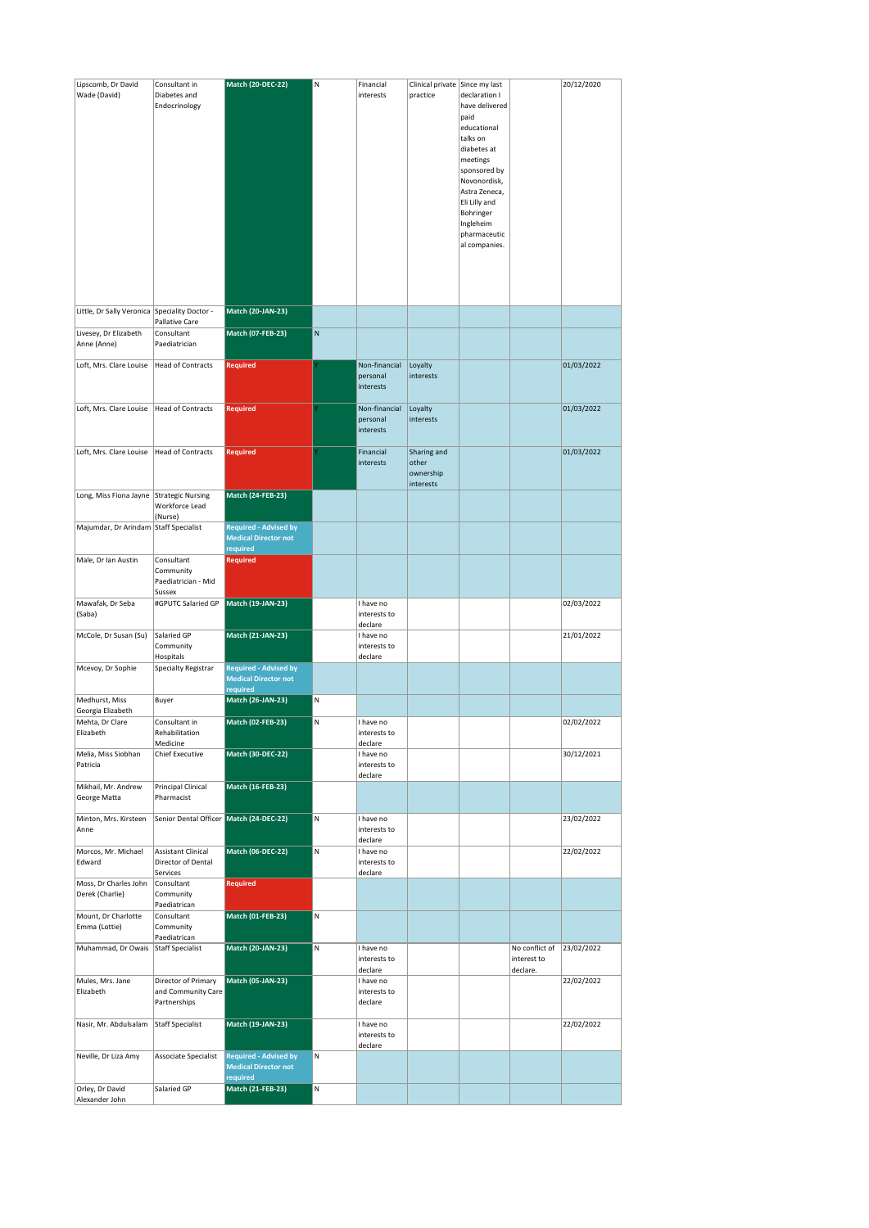| Lipscomb, Dr David                            | Consultant in                           | Match (20-DEC-22)                                           | N | Financial                 | Clinical private Since my last |                |                | 20/12/2020 |
|-----------------------------------------------|-----------------------------------------|-------------------------------------------------------------|---|---------------------------|--------------------------------|----------------|----------------|------------|
| Wade (David)                                  | Diabetes and                            |                                                             |   | interests                 | practice                       | declaration I  |                |            |
|                                               | Endocrinology                           |                                                             |   |                           |                                | have delivered |                |            |
|                                               |                                         |                                                             |   |                           |                                | paid           |                |            |
|                                               |                                         |                                                             |   |                           |                                | educational    |                |            |
|                                               |                                         |                                                             |   |                           |                                | talks on       |                |            |
|                                               |                                         |                                                             |   |                           |                                | diabetes at    |                |            |
|                                               |                                         |                                                             |   |                           |                                | meetings       |                |            |
|                                               |                                         |                                                             |   |                           |                                | sponsored by   |                |            |
|                                               |                                         |                                                             |   |                           |                                | Novonordisk,   |                |            |
|                                               |                                         |                                                             |   |                           |                                | Astra Zeneca,  |                |            |
|                                               |                                         |                                                             |   |                           |                                | Eli Lilly and  |                |            |
|                                               |                                         |                                                             |   |                           |                                | Bohringer      |                |            |
|                                               |                                         |                                                             |   |                           |                                | Ingleheim      |                |            |
|                                               |                                         |                                                             |   |                           |                                | pharmaceutic   |                |            |
|                                               |                                         |                                                             |   |                           |                                | al companies.  |                |            |
|                                               |                                         |                                                             |   |                           |                                |                |                |            |
|                                               |                                         |                                                             |   |                           |                                |                |                |            |
|                                               |                                         |                                                             |   |                           |                                |                |                |            |
|                                               |                                         |                                                             |   |                           |                                |                |                |            |
|                                               |                                         |                                                             |   |                           |                                |                |                |            |
| Little, Dr Sally Veronica Speciality Doctor - |                                         | Match (20-JAN-23)                                           |   |                           |                                |                |                |            |
|                                               | Pallative Care<br>Consultant            | <b>Match (07-FEB-23)</b>                                    | N |                           |                                |                |                |            |
| Livesey, Dr Elizabeth<br>Anne (Anne)          | Paediatrician                           |                                                             |   |                           |                                |                |                |            |
|                                               |                                         |                                                             |   |                           |                                |                |                |            |
| Loft, Mrs. Clare Louise                       | <b>Head of Contracts</b>                | <b>Required</b>                                             |   | Non-financial             | Loyalty                        |                |                | 01/03/2022 |
|                                               |                                         |                                                             |   | personal                  | interests                      |                |                |            |
|                                               |                                         |                                                             |   | interests                 |                                |                |                |            |
|                                               |                                         |                                                             |   |                           |                                |                |                |            |
| Loft, Mrs. Clare Louise                       | Head of Contracts                       | <b>Required</b>                                             |   | Non-financial             | Loyalty                        |                |                | 01/03/2022 |
|                                               |                                         |                                                             |   | personal                  | interests                      |                |                |            |
|                                               |                                         |                                                             |   | interests                 |                                |                |                |            |
|                                               |                                         |                                                             |   |                           |                                |                |                |            |
| Loft, Mrs. Clare Louise                       | <b>Head of Contracts</b>                | Required                                                    |   | Financial                 | Sharing and                    |                |                | 01/03/2022 |
|                                               |                                         |                                                             |   | interests                 | other                          |                |                |            |
|                                               |                                         |                                                             |   |                           | ownership                      |                |                |            |
|                                               |                                         |                                                             |   |                           | interests                      |                |                |            |
| Long, Miss Fiona Jayne                        | <b>Strategic Nursing</b>                | Match (24-FEB-23)                                           |   |                           |                                |                |                |            |
|                                               | Workforce Lead                          |                                                             |   |                           |                                |                |                |            |
|                                               | (Nurse)                                 |                                                             |   |                           |                                |                |                |            |
| Majumdar, Dr Arindam                          | Staff Specialist                        | <b>Required - Advised by</b><br><b>Medical Director not</b> |   |                           |                                |                |                |            |
|                                               |                                         | required                                                    |   |                           |                                |                |                |            |
| Male, Dr Ian Austin                           | Consultant                              | <b>Required</b>                                             |   |                           |                                |                |                |            |
|                                               | Community                               |                                                             |   |                           |                                |                |                |            |
|                                               | Paediatrician - Mid                     |                                                             |   |                           |                                |                |                |            |
|                                               | Sussex                                  |                                                             |   |                           |                                |                |                |            |
| Mawafak, Dr Seba                              | #GPUTC Salaried GP                      | Match (19-JAN-23)                                           |   | I have no                 |                                |                |                | 02/03/2022 |
| (Saba)                                        |                                         |                                                             |   | interests to              |                                |                |                |            |
|                                               |                                         |                                                             |   | declare                   |                                |                |                |            |
| McCole, Dr Susan (Su)                         | Salaried GP                             | <b>Match (21-JAN-23)</b>                                    |   | I have no                 |                                |                |                | 21/01/2022 |
|                                               | Community                               |                                                             |   | interests to              |                                |                |                |            |
|                                               | Hospitals                               |                                                             |   | declare                   |                                |                |                |            |
| Mcevoy, Dr Sophie                             | Specialty Registrar                     | <b>Required - Advised by</b>                                |   |                           |                                |                |                |            |
|                                               |                                         | <b>Medical Director not</b>                                 |   |                           |                                |                |                |            |
|                                               |                                         |                                                             |   |                           |                                |                |                |            |
|                                               |                                         | required                                                    |   |                           |                                |                |                |            |
| Medhurst, Miss                                | Buyer                                   | Match (26-JAN-23)                                           | N |                           |                                |                |                |            |
| Georgia Elizabeth                             |                                         |                                                             |   |                           |                                |                |                |            |
| Mehta, Dr Clare                               | Consultant in                           | <b>Match (02-FEB-23)</b>                                    | N | I have no                 |                                |                |                | 02/02/2022 |
| Elizabeth                                     | Rehabilitation                          |                                                             |   | interests to              |                                |                |                |            |
|                                               | Medicine                                |                                                             |   | declare                   |                                |                |                |            |
| Melia, Miss Siobhan<br>Patricia               | <b>Chief Executive</b>                  | <b>Match (30-DEC-22)</b>                                    |   | I have no<br>interests to |                                |                |                | 30/12/2021 |
|                                               |                                         |                                                             |   | declare                   |                                |                |                |            |
| Mikhail, Mr. Andrew                           | Principal Clinical                      | <b>Match (16-FEB-23)</b>                                    |   |                           |                                |                |                |            |
| George Matta                                  | Pharmacist                              |                                                             |   |                           |                                |                |                |            |
|                                               |                                         |                                                             |   |                           |                                |                |                |            |
| Minton, Mrs. Kirsteen                         | Senior Dental Officer Match (24-DEC-22) |                                                             | N | I have no                 |                                |                |                | 23/02/2022 |
| Anne                                          |                                         |                                                             |   | interests to              |                                |                |                |            |
|                                               |                                         |                                                             |   | declare                   |                                |                |                |            |
| Morcos, Mr. Michael                           | <b>Assistant Clinical</b>               | <b>Match (06-DEC-22)</b>                                    | N | I have no                 |                                |                |                | 22/02/2022 |
| Edward                                        | Director of Dental                      |                                                             |   | interests to              |                                |                |                |            |
| Moss, Dr Charles John                         | Services<br>Consultant                  | <b>Required</b>                                             |   | declare                   |                                |                |                |            |
| Derek (Charlie)                               | Community                               |                                                             |   |                           |                                |                |                |            |
|                                               | Paediatrican                            |                                                             |   |                           |                                |                |                |            |
| Mount, Dr Charlotte                           | Consultant                              | Match (01-FEB-23)                                           | N |                           |                                |                |                |            |
| Emma (Lottie)                                 | Community                               |                                                             |   |                           |                                |                |                |            |
|                                               | Paediatrican                            |                                                             |   |                           |                                |                |                |            |
| Muhammad, Dr Owais                            | Staff Specialist                        | <b>Match (20-JAN-23)</b>                                    | N | I have no                 |                                |                | No conflict of | 23/02/2022 |
|                                               |                                         |                                                             |   | interests to              |                                |                | interest to    |            |
|                                               |                                         |                                                             |   | declare                   |                                |                | declare.       |            |
| Mules, Mrs. Jane                              | Director of Primary                     | <b>Match (05-JAN-23)</b>                                    |   | I have no                 |                                |                |                | 22/02/2022 |
| Elizabeth                                     | and Community Care                      |                                                             |   | interests to<br>declare   |                                |                |                |            |
|                                               | Partnerships                            |                                                             |   |                           |                                |                |                |            |
| Nasir, Mr. Abdulsalam                         | <b>Staff Specialist</b>                 | <b>Match (19-JAN-23)</b>                                    |   | I have no                 |                                |                |                | 22/02/2022 |
|                                               |                                         |                                                             |   | interests to              |                                |                |                |            |
|                                               |                                         |                                                             |   | declare                   |                                |                |                |            |
| Neville, Dr Liza Amy                          | Associate Specialist                    | <b>Required - Advised by</b>                                | N |                           |                                |                |                |            |
|                                               |                                         | <b>Medical Director not</b>                                 |   |                           |                                |                |                |            |
|                                               |                                         | required                                                    |   |                           |                                |                |                |            |
| Orley, Dr David<br>Alexander John             | Salaried GP                             | <b>Match (21-FEB-23)</b>                                    | N |                           |                                |                |                |            |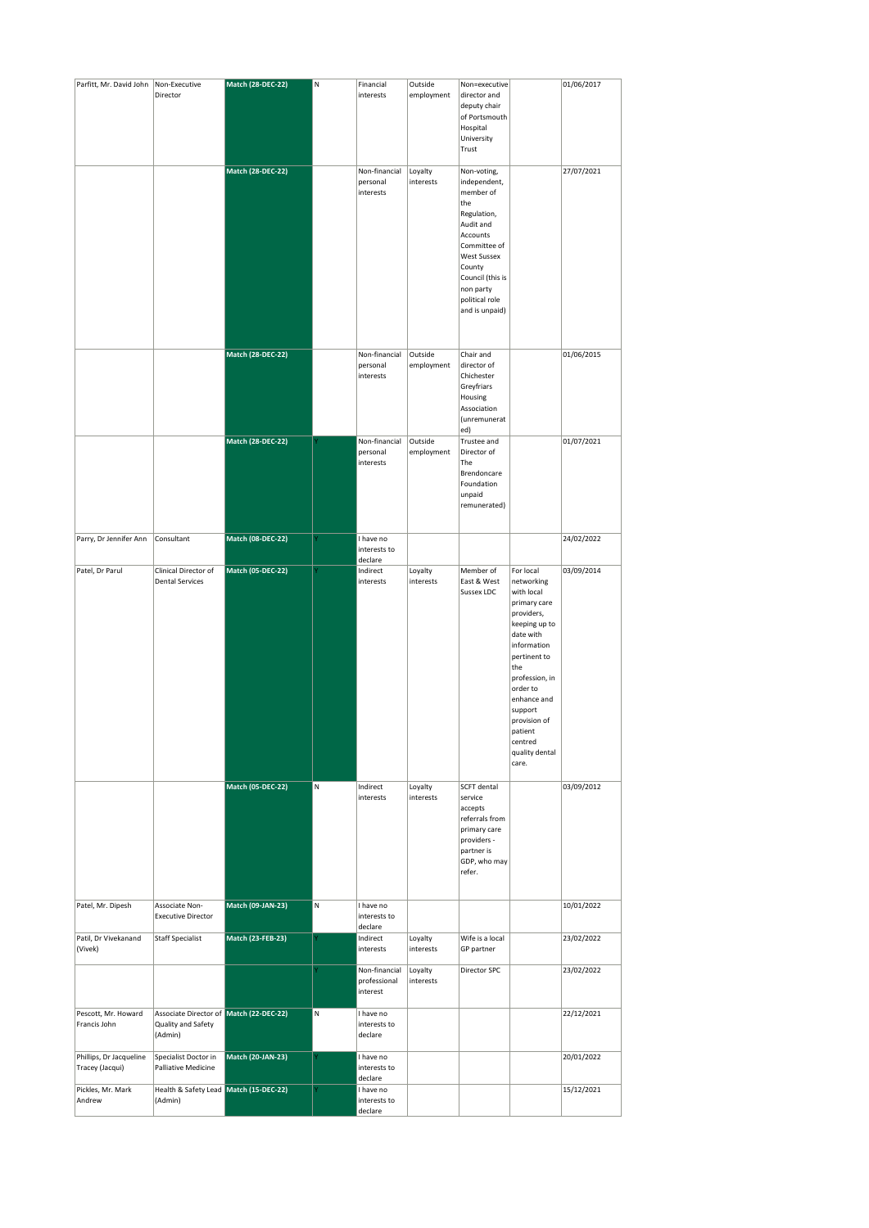| Parfitt, Mr. David John   Non-Executive    |                                                                          | Match (28-DEC-22)        | N | Financial                                 | Outside               | Non=executive                                                                                                                                                                                 |                                                                                                                                                                                                                                                                  | 01/06/2017 |
|--------------------------------------------|--------------------------------------------------------------------------|--------------------------|---|-------------------------------------------|-----------------------|-----------------------------------------------------------------------------------------------------------------------------------------------------------------------------------------------|------------------------------------------------------------------------------------------------------------------------------------------------------------------------------------------------------------------------------------------------------------------|------------|
|                                            | Director                                                                 | Match (28-DEC-22)        |   | interests<br>Non-financial                | employment<br>Loyalty | director and<br>deputy chair<br>of Portsmouth<br>Hospital<br>University<br>Trust<br>Non-voting,                                                                                               |                                                                                                                                                                                                                                                                  | 27/07/2021 |
|                                            |                                                                          |                          |   | personal<br>interests                     | interests             | independent,<br>member of<br>the<br>Regulation,<br>Audit and<br>Accounts<br>Committee of<br><b>West Sussex</b><br>County<br>Council (this is<br>non party<br>political role<br>and is unpaid) |                                                                                                                                                                                                                                                                  |            |
|                                            |                                                                          | <b>Match (28-DEC-22)</b> |   | Non-financial<br>personal<br>interests    | Outside<br>employment | Chair and<br>director of<br>Chichester<br>Greyfriars<br>Housing<br>Association<br>(unremunerat<br>ed)                                                                                         |                                                                                                                                                                                                                                                                  | 01/06/2015 |
|                                            |                                                                          | <b>Match (28-DEC-22)</b> |   | Non-financial<br>personal<br>interests    | Outside<br>employment | Trustee and<br>Director of<br>The<br>Brendoncare<br>Foundation<br>unpaid<br>remunerated)                                                                                                      |                                                                                                                                                                                                                                                                  | 01/07/2021 |
| Parry, Dr Jennifer Ann                     | Consultant                                                               | Match (08-DEC-22)        |   | I have no<br>interests to<br>declare      |                       |                                                                                                                                                                                               |                                                                                                                                                                                                                                                                  | 24/02/2022 |
| Patel, Dr Parul                            | Clinical Director of<br><b>Dental Services</b>                           | <b>Match (05-DEC-22)</b> |   | Indirect<br>interests                     | Loyalty<br>interests  | Member of<br>East & West<br>Sussex LDC                                                                                                                                                        | For local<br>networking<br>with local<br>primary care<br>providers,<br>keeping up to<br>date with<br>information<br>pertinent to<br>the<br>profession, in<br>order to<br>enhance and<br>support<br>provision of<br>natient<br>centred<br>quality dental<br>care. | 03/09/2014 |
|                                            |                                                                          | <b>Match (05-DEC-22)</b> | N | Indirect<br>interests                     | Loyalty<br>interests  | <b>SCFT</b> dental<br>service<br>accepts<br>referrals from<br>primary care<br>providers -<br>partner is<br>GDP, who may<br>refer.                                                             |                                                                                                                                                                                                                                                                  | 03/09/2012 |
| Patel, Mr. Dipesh                          | Associate Non-<br><b>Executive Director</b>                              | <b>Match (09-JAN-23)</b> | M | I have no<br>interests to<br>declare      |                       |                                                                                                                                                                                               |                                                                                                                                                                                                                                                                  | 10/01/2022 |
| Patil, Dr Vivekanand<br>(Vivek)            | <b>Staff Specialist</b>                                                  | <b>Match (23-FEB-23)</b> |   | Indirect<br>interests                     | Loyalty<br>interests  | Wife is a local<br>GP partner                                                                                                                                                                 |                                                                                                                                                                                                                                                                  | 23/02/2022 |
|                                            |                                                                          |                          |   | Non-financial<br>professional<br>interest | Loyalty<br>interests  | Director SPC                                                                                                                                                                                  |                                                                                                                                                                                                                                                                  | 23/02/2022 |
| Pescott, Mr. Howard<br>Francis John        | Associate Director of Match (22-DEC-22)<br>Quality and Safety<br>(Admin) |                          | N | I have no<br>interests to<br>declare      |                       |                                                                                                                                                                                               |                                                                                                                                                                                                                                                                  | 22/12/2021 |
| Phillips, Dr Jacqueline<br>Tracey (Jacqui) | Specialist Doctor in<br>Palliative Medicine                              | Match (20-JAN-23)        |   | I have no<br>interests to<br>declare      |                       |                                                                                                                                                                                               |                                                                                                                                                                                                                                                                  | 20/01/2022 |
| Pickles, Mr. Mark<br>Andrew                | Health & Safety Lead Match (15-DEC-22)<br>(Admin)                        |                          |   | I have no<br>interests to<br>declare      |                       |                                                                                                                                                                                               |                                                                                                                                                                                                                                                                  | 15/12/2021 |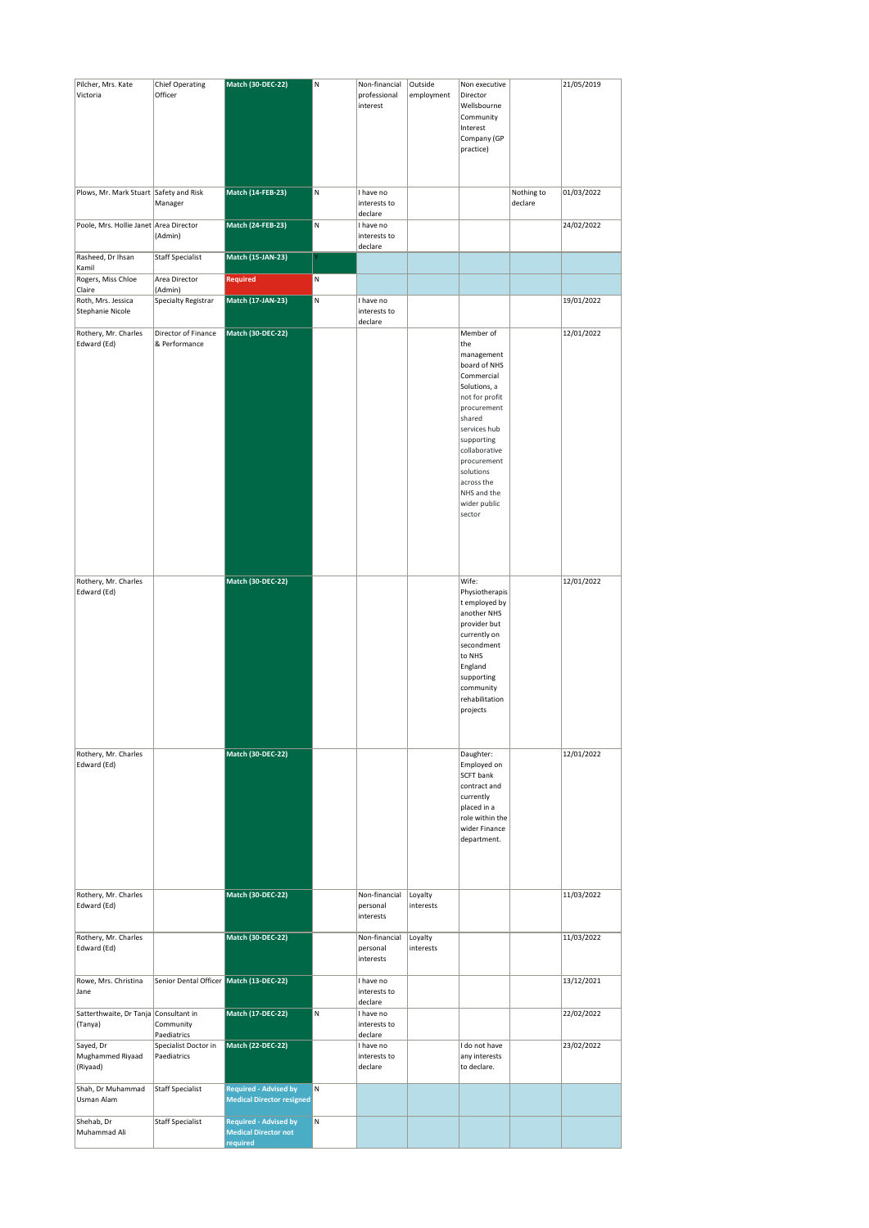| Pilcher, Mrs. Kate<br>Victoria                   | <b>Chief Operating</b><br>Officer       | <b>Match (30-DEC-22)</b>                                         | N | Non-financial<br>professional<br>interest | Outside<br>employment | Non executive<br>Director<br>Wellsbourne<br>Community<br>Interest<br>Company (GP<br>practice)                                                                                                                                                             |                       | 21/05/2019 |
|--------------------------------------------------|-----------------------------------------|------------------------------------------------------------------|---|-------------------------------------------|-----------------------|-----------------------------------------------------------------------------------------------------------------------------------------------------------------------------------------------------------------------------------------------------------|-----------------------|------------|
| Plows, Mr. Mark Stuart Safety and Risk           | Manager                                 | <b>Match (14-FEB-23)</b>                                         | N | I have no<br>interests to                 |                       |                                                                                                                                                                                                                                                           | Nothing to<br>declare | 01/03/2022 |
| Poole, Mrs. Hollie Janet Area Director           | (Admin)                                 | Match (24-FEB-23)                                                | M | declare<br>I have no<br>interests to      |                       |                                                                                                                                                                                                                                                           |                       | 24/02/2022 |
| Rasheed, Dr Ihsan                                | <b>Staff Specialist</b>                 | Match (15-JAN-23)                                                |   | declare                                   |                       |                                                                                                                                                                                                                                                           |                       |            |
| Kamil<br>Rogers, Miss Chloe                      | Area Director                           | <b>Required</b>                                                  | N |                                           |                       |                                                                                                                                                                                                                                                           |                       |            |
| Claire                                           | (Admin)                                 |                                                                  |   |                                           |                       |                                                                                                                                                                                                                                                           |                       |            |
| Roth, Mrs. Jessica<br><b>Stephanie Nicole</b>    | Specialty Registrar                     | Match (17-JAN-23)                                                | M | I have no<br>interests to<br>declare      |                       |                                                                                                                                                                                                                                                           |                       | 19/01/2022 |
| Rothery, Mr. Charles<br>Edward (Ed)              | Director of Finance<br>& Performance    | Match (30-DEC-22)                                                |   |                                           |                       | Member of<br>the<br>management<br>board of NHS<br>Commercial<br>Solutions, a<br>not for profit<br>procurement<br>shared<br>services hub<br>supporting<br>collaborative<br>procurement<br>solutions<br>across the<br>NHS and the<br>wider public<br>sector |                       | 12/01/2022 |
| Rothery, Mr. Charles<br>Edward (Ed)              |                                         | Match (30-DEC-22)                                                |   |                                           |                       | Wife:<br>Physiotherapis<br>t employed by<br>another NHS<br>provider but<br>currently on<br>secondment<br>to NHS<br>England<br>supporting<br>community<br>rehabilitation<br>projects                                                                       |                       | 12/01/2022 |
| Rothery, Mr. Charles<br>Edward (Ed)              |                                         | <b>Match (30-DEC-22)</b>                                         |   |                                           |                       | Daughter:<br>Employed on<br><b>SCFT bank</b><br>contract and<br>currently<br>placed in a<br>role within the<br>wider Finance<br>department.                                                                                                               |                       | 12/01/2022 |
| Rothery, Mr. Charles<br>Edward (Ed)              |                                         | Match (30-DEC-22)                                                |   | Non-financial<br>personal<br>interests    | Loyalty<br>interests  |                                                                                                                                                                                                                                                           |                       | 11/03/2022 |
| Rothery, Mr. Charles<br>Edward (Ed)              |                                         | <b>Match (30-DEC-22)</b>                                         |   | Non-financial<br>personal<br>interests    | Loyalty<br>interests  |                                                                                                                                                                                                                                                           |                       | 11/03/2022 |
| Rowe, Mrs. Christina<br>Jane                     | Senior Dental Officer Match (13-DEC-22) |                                                                  |   | I have no<br>interests to<br>declare      |                       |                                                                                                                                                                                                                                                           |                       | 13/12/2021 |
| Satterthwaite, Dr Tanja Consultant in<br>(Tanya) | Community<br>Paediatrics                | Match (17-DEC-22)                                                | N | I have no<br>interests to<br>declare      |                       |                                                                                                                                                                                                                                                           |                       | 22/02/2022 |
| Sayed, Dr<br>Mughammed Riyaad<br>(Riyaad)        | Specialist Doctor in<br>Paediatrics     | <b>Match (22-DEC-22)</b>                                         |   | I have no<br>interests to<br>declare      |                       | I do not have<br>any interests<br>to declare.                                                                                                                                                                                                             |                       | 23/02/2022 |
| Shah, Dr Muhammad<br>Usman Alam                  | <b>Staff Specialist</b>                 | <b>Required - Advised by</b><br><b>Medical Director resigned</b> | N |                                           |                       |                                                                                                                                                                                                                                                           |                       |            |
| Shehab, Dr                                       | <b>Staff Specialist</b>                 | <b>Required - Advised by</b>                                     | N |                                           |                       |                                                                                                                                                                                                                                                           |                       |            |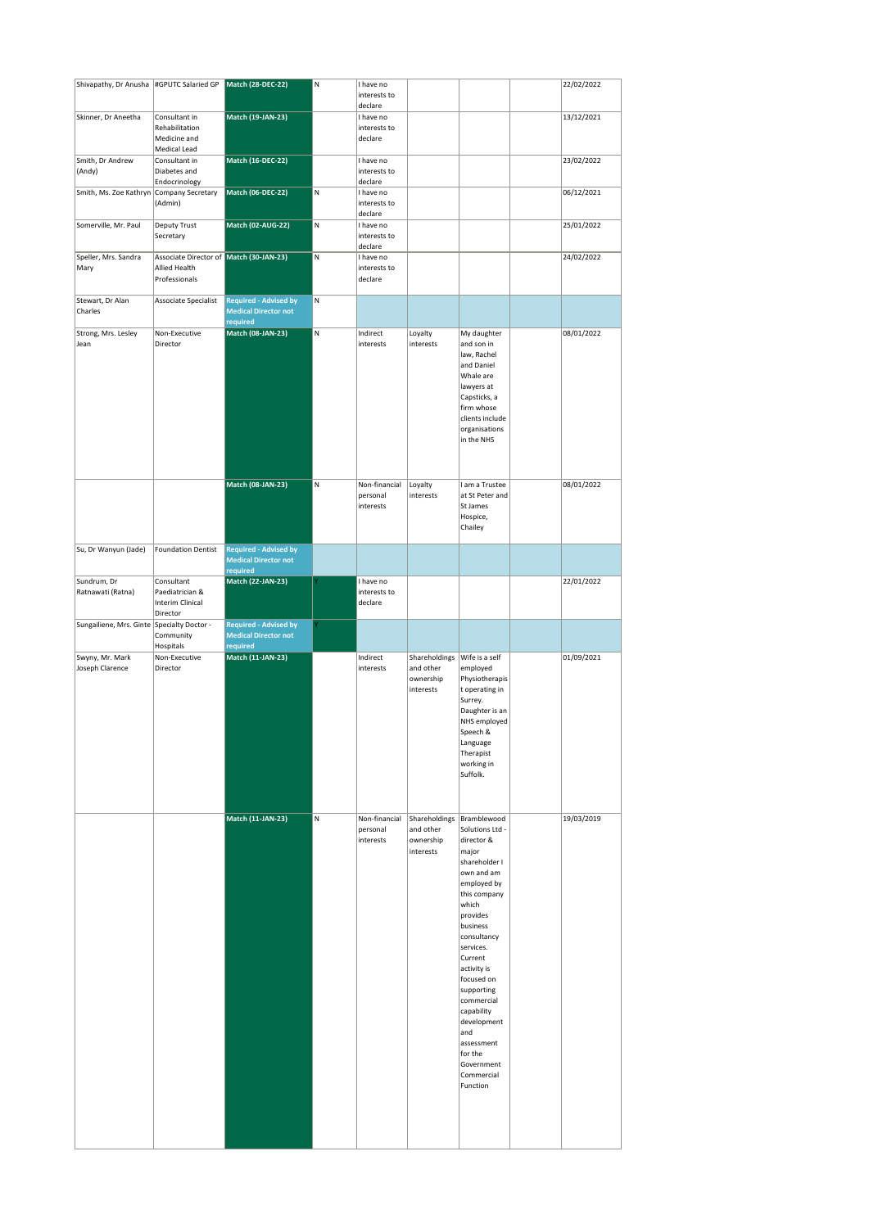| Shivapathy, Dr Anusha   #GPUTC Salaried GP |                                         | <b>Match (28-DEC-22)</b>                                    | N | I have no                 |                        |                                  | 22/02/2022 |
|--------------------------------------------|-----------------------------------------|-------------------------------------------------------------|---|---------------------------|------------------------|----------------------------------|------------|
|                                            |                                         |                                                             |   | interests to              |                        |                                  |            |
|                                            |                                         |                                                             |   | declare                   |                        |                                  |            |
| Skinner, Dr Aneetha                        | Consultant in<br>Rehabilitation         | Match (19-JAN-23)                                           |   | I have no<br>interests to |                        |                                  | 13/12/2021 |
|                                            | Medicine and                            |                                                             |   | declare                   |                        |                                  |            |
|                                            | Medical Lead                            |                                                             |   |                           |                        |                                  |            |
| Smith, Dr Andrew<br>(Andy)                 | Consultant in<br>Diabetes and           | <b>Match (16-DEC-22)</b>                                    |   | I have no<br>interests to |                        |                                  | 23/02/2022 |
|                                            | Endocrinology                           |                                                             |   | declare                   |                        |                                  |            |
| Smith, Ms. Zoe Kathryn                     | Company Secretary<br>(Admin)            | <b>Match (06-DEC-22)</b>                                    | N | I have no<br>interests to |                        |                                  | 06/12/2021 |
|                                            |                                         |                                                             |   | declare                   |                        |                                  |            |
| Somerville, Mr. Paul                       | Deputy Trust                            | Match (02-AUG-22)                                           | N | I have no                 |                        |                                  | 25/01/2022 |
|                                            | Secretary                               |                                                             |   | interests to<br>declare   |                        |                                  |            |
| Speller, Mrs. Sandra                       | Associate Director of Match (30-JAN-23) |                                                             | N | I have no                 |                        |                                  | 24/02/2022 |
| Mary                                       | Allied Health<br>Professionals          |                                                             |   | interests to<br>declare   |                        |                                  |            |
|                                            |                                         |                                                             |   |                           |                        |                                  |            |
| Stewart, Dr Alan                           | Associate Specialist                    | <b>Required - Advised by</b>                                | N |                           |                        |                                  |            |
| Charles                                    |                                         | <b>Medical Director not</b><br>required                     |   |                           |                        |                                  |            |
| Strong, Mrs. Lesley                        | Non-Executive                           | <b>Match (08-JAN-23)</b>                                    | N | Indirect                  | Loyalty                | My daughter                      | 08/01/2022 |
| Jean                                       | Director                                |                                                             |   | interests                 | interests              | and son in<br>law, Rachel        |            |
|                                            |                                         |                                                             |   |                           |                        | and Daniel                       |            |
|                                            |                                         |                                                             |   |                           |                        | Whale are                        |            |
|                                            |                                         |                                                             |   |                           |                        | lawyers at<br>Capsticks, a       |            |
|                                            |                                         |                                                             |   |                           |                        | firm whose                       |            |
|                                            |                                         |                                                             |   |                           |                        | clients include                  |            |
|                                            |                                         |                                                             |   |                           |                        | organisations<br>in the NHS      |            |
|                                            |                                         |                                                             |   |                           |                        |                                  |            |
|                                            |                                         |                                                             |   |                           |                        |                                  |            |
|                                            |                                         | Match (08-JAN-23)                                           | N | Non-financial             | Loyalty                | I am a Trustee                   | 08/01/2022 |
|                                            |                                         |                                                             |   | personal                  | interests              | at St Peter and                  |            |
|                                            |                                         |                                                             |   | interests                 |                        | St James<br>Hospice,             |            |
|                                            |                                         |                                                             |   |                           |                        | Chailey                          |            |
|                                            |                                         |                                                             |   |                           |                        |                                  |            |
| Su, Dr Wanyun (Jade)                       | <b>Foundation Dentist</b>               | <b>Required - Advised by</b><br><b>Medical Director not</b> |   |                           |                        |                                  |            |
|                                            |                                         | required                                                    |   |                           |                        |                                  |            |
| Sundrum, Dr<br>Ratnawati (Ratna)           | Consultant<br>Paediatrician &           | <b>Match (22-JAN-23)</b>                                    |   | I have no<br>interests to |                        |                                  | 22/01/2022 |
|                                            | Interim Clinical                        |                                                             |   | declare                   |                        |                                  |            |
|                                            |                                         |                                                             |   |                           |                        |                                  |            |
|                                            | Director                                |                                                             |   |                           |                        |                                  |            |
| Sungailiene, Mrs. Ginte                    | Specialty Doctor -                      | <b>Required - Advised by</b>                                |   |                           |                        |                                  |            |
|                                            | Community<br>Hospitals                  | <b>Medical Director not</b><br>required                     |   |                           |                        |                                  |            |
| Swyny, Mr. Mark                            | Non-Executive                           | Match (11-JAN-23)                                           |   | Indirect                  | Shareholdings          | Wife is a self                   | 01/09/2021 |
| Joseph Clarence                            | Director                                |                                                             |   | interests                 | and other              | employed                         |            |
|                                            |                                         |                                                             |   |                           | ownership<br>interests | Physiotherapis<br>t operating in |            |
|                                            |                                         |                                                             |   |                           |                        | Surrey.                          |            |
|                                            |                                         |                                                             |   |                           |                        | Daughter is an<br>NHS employed   |            |
|                                            |                                         |                                                             |   |                           |                        | Speech &                         |            |
|                                            |                                         |                                                             |   |                           |                        | Language                         |            |
|                                            |                                         |                                                             |   |                           |                        | Therapist<br>working in          |            |
|                                            |                                         |                                                             |   |                           |                        | Suffolk.                         |            |
|                                            |                                         |                                                             |   |                           |                        |                                  |            |
|                                            |                                         |                                                             |   |                           |                        |                                  |            |
|                                            |                                         | Match (11-JAN-23)                                           | M | Non-financial             | Shareholdings          | Bramblewood                      | 19/03/2019 |
|                                            |                                         |                                                             |   | personal<br>interests     | and other              | Solutions Ltd -<br>director &    |            |
|                                            |                                         |                                                             |   |                           | ownership<br>interests | major                            |            |
|                                            |                                         |                                                             |   |                           |                        | shareholder I                    |            |
|                                            |                                         |                                                             |   |                           |                        | own and am<br>employed by        |            |
|                                            |                                         |                                                             |   |                           |                        | this company                     |            |
|                                            |                                         |                                                             |   |                           |                        | which<br>provides                |            |
|                                            |                                         |                                                             |   |                           |                        | business                         |            |
|                                            |                                         |                                                             |   |                           |                        | consultancy                      |            |
|                                            |                                         |                                                             |   |                           |                        | services.<br>Current             |            |
|                                            |                                         |                                                             |   |                           |                        | activity is                      |            |
|                                            |                                         |                                                             |   |                           |                        | focused on                       |            |
|                                            |                                         |                                                             |   |                           |                        | supporting<br>commercial         |            |
|                                            |                                         |                                                             |   |                           |                        | capability                       |            |
|                                            |                                         |                                                             |   |                           |                        | development<br>and               |            |
|                                            |                                         |                                                             |   |                           |                        | assessment                       |            |
|                                            |                                         |                                                             |   |                           |                        | for the                          |            |
|                                            |                                         |                                                             |   |                           |                        | Government<br>Commercial         |            |
|                                            |                                         |                                                             |   |                           |                        | Function                         |            |
|                                            |                                         |                                                             |   |                           |                        |                                  |            |
|                                            |                                         |                                                             |   |                           |                        |                                  |            |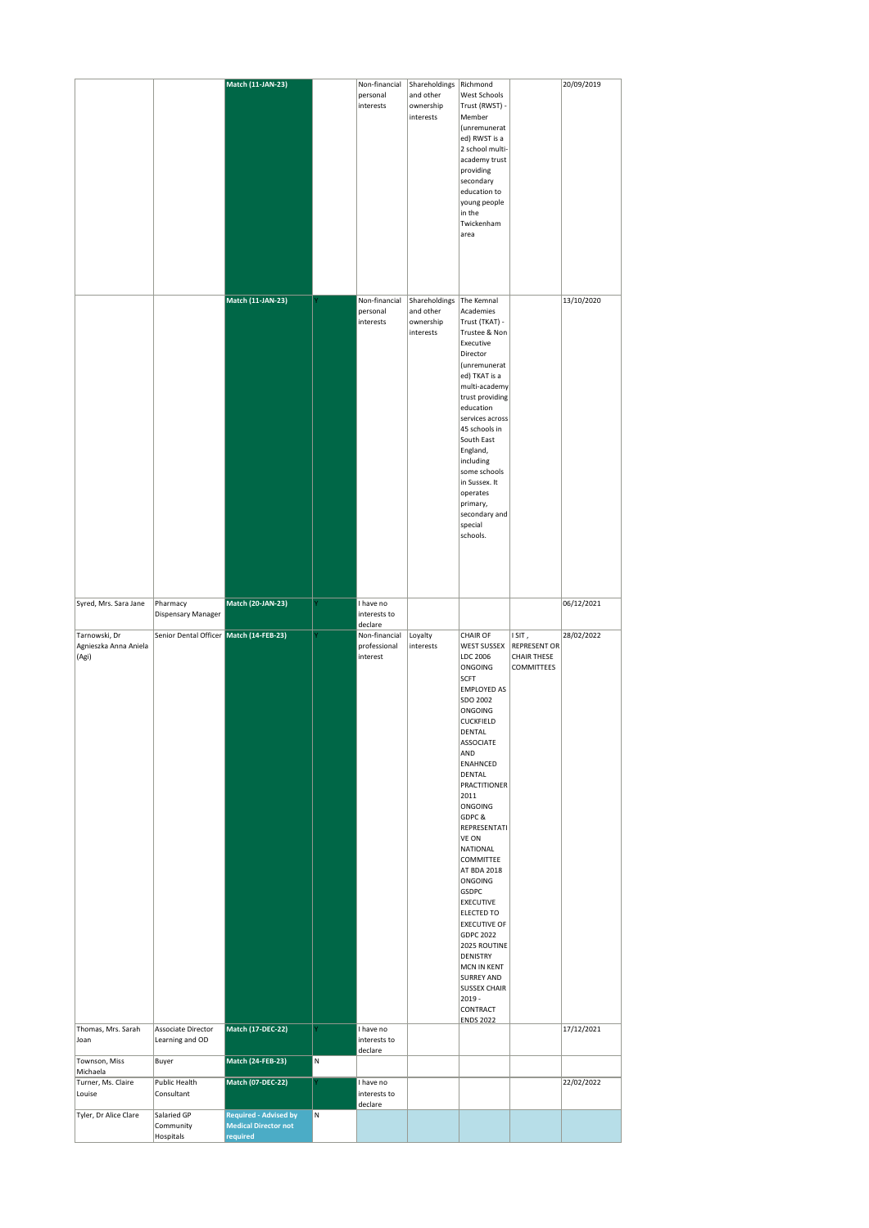|                                                 |                                         | Match (11-JAN-23)                                                       |   | Non-financial                             | Shareholdings                                        | Richmond                                                                                                                                                                                                                                                                                                                                                                                                                                                                                                                                                         |                                                                         | 20/09/2019 |
|-------------------------------------------------|-----------------------------------------|-------------------------------------------------------------------------|---|-------------------------------------------|------------------------------------------------------|------------------------------------------------------------------------------------------------------------------------------------------------------------------------------------------------------------------------------------------------------------------------------------------------------------------------------------------------------------------------------------------------------------------------------------------------------------------------------------------------------------------------------------------------------------------|-------------------------------------------------------------------------|------------|
|                                                 |                                         |                                                                         |   | personal<br>interests                     | and other<br>ownership<br>interests                  | West Schools<br>Trust (RWST) -<br>Member<br>(unremunerat<br>ed) RWST is a<br>2 school multi-<br>academy trust<br>providing<br>secondary<br>education to<br>young people<br>in the<br>Twickenham<br>area                                                                                                                                                                                                                                                                                                                                                          |                                                                         |            |
|                                                 |                                         | Match (11-JAN-23)                                                       |   | Non-financial<br>personal<br>interests    | Shareholdings<br>and other<br>ownership<br>interests | The Kemnal<br>Academies<br>Trust (TKAT) -<br>Trustee & Non<br>Executive<br>Director<br>(unremunerat<br>ed) TKAT is a<br>multi-academy<br>trust providing<br>education<br>services across<br>45 schools in<br>South East<br>England,<br>including<br>some schools<br>in Sussex. It<br>operates<br>primary,<br>secondary and<br>special<br>schools.                                                                                                                                                                                                                |                                                                         | 13/10/2020 |
| Syred, Mrs. Sara Jane                           | Pharmacy<br>Dispensary Manager          | Match (20-JAN-23)                                                       |   | I have no<br>interests to<br>declare      |                                                      |                                                                                                                                                                                                                                                                                                                                                                                                                                                                                                                                                                  |                                                                         | 06/12/2021 |
| Tarnowski, Dr<br>Agnieszka Anna Aniela<br>(Agi) | Senior Dental Officer Match (14-FEB-23) |                                                                         |   | Non-financial<br>professional<br>interest | Loyalty<br>interests                                 | <b>CHAIR OF</b><br>WEST SUSSEX<br>LDC 2006<br>ONGOING<br><b>SCFT</b><br>EMPLOYED AS<br>SDO 2002<br>ONGOING<br><b>CUCKFIELD</b><br>DENTAL<br><b>ASSOCIATE</b><br>AND<br><b>ENAHNCED</b><br><b>DENTAL</b><br><b>PRACTITIONER</b><br>2011<br>ONGOING<br>GDPC &<br>REPRESENTATI<br>VE ON<br>NATIONAL<br>COMMITTEE<br>AT BDA 2018<br>ONGOING<br><b>GSDPC</b><br><b>EXECUTIVE</b><br>ELECTED TO<br><b>EXECUTIVE OF</b><br>GDPC 2022<br>2025 ROUTINE<br><b>DENISTRY</b><br>MCN IN KENT<br>SURREY AND<br><b>SUSSEX CHAIR</b><br>$2019 -$<br>CONTRACT<br><b>ENDS 2022</b> | ISIT,<br><b>REPRESENT OR</b><br><b>CHAIR THESE</b><br><b>COMMITTEES</b> | 28/02/2022 |
| Thomas, Mrs. Sarah<br>Joan                      | Associate Director<br>Learning and OD   | Match (17-DEC-22)                                                       |   | I have no<br>interests to<br>declare      |                                                      |                                                                                                                                                                                                                                                                                                                                                                                                                                                                                                                                                                  |                                                                         | 17/12/2021 |
| Townson, Miss<br>Michaela                       | Buyer                                   | Match (24-FEB-23)                                                       | N |                                           |                                                      |                                                                                                                                                                                                                                                                                                                                                                                                                                                                                                                                                                  |                                                                         |            |
| Turner, Ms. Claire<br>Louise                    | Public Health<br>Consultant             | Match (07-DEC-22)                                                       |   | I have no<br>interests to<br>declare      |                                                      |                                                                                                                                                                                                                                                                                                                                                                                                                                                                                                                                                                  |                                                                         | 22/02/2022 |
| Tyler, Dr Alice Clare                           | Salaried GP<br>Community<br>Hospitals   | <b>Required - Advised by</b><br><b>Medical Director not</b><br>required | N |                                           |                                                      |                                                                                                                                                                                                                                                                                                                                                                                                                                                                                                                                                                  |                                                                         |            |